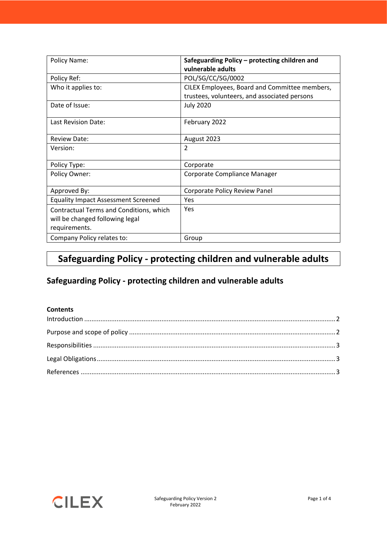| Policy Name:                               | Safeguarding Policy - protecting children and<br>vulnerable adults |
|--------------------------------------------|--------------------------------------------------------------------|
| Policy Ref:                                | POL/SG/CC/SG/0002                                                  |
| Who it applies to:                         | CILEX Employees, Board and Committee members,                      |
|                                            | trustees, volunteers, and associated persons                       |
| Date of Issue:                             | <b>July 2020</b>                                                   |
| Last Revision Date:                        | February 2022                                                      |
| <b>Review Date:</b>                        | August 2023                                                        |
| Version:                                   | $\overline{2}$                                                     |
| Policy Type:                               | Corporate                                                          |
| Policy Owner:                              | Corporate Compliance Manager                                       |
| Approved By:                               | Corporate Policy Review Panel                                      |
| <b>Equality Impact Assessment Screened</b> | Yes                                                                |
| Contractual Terms and Conditions, which    | Yes                                                                |
| will be changed following legal            |                                                                    |
| requirements.                              |                                                                    |
| Company Policy relates to:                 | Group                                                              |

# **Safeguarding Policy - protecting children and vulnerable adults**

## **Safeguarding Policy - protecting children and vulnerable adults**

### **Contents**

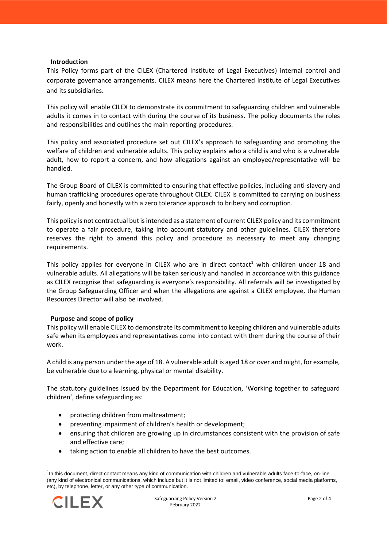#### <span id="page-1-0"></span>**Introduction**

This Policy forms part of the CILEX (Chartered Institute of Legal Executives) internal control and corporate governance arrangements. CILEX means here the Chartered Institute of Legal Executives and its subsidiaries.

This policy will enable CILEX to demonstrate its commitment to safeguarding children and vulnerable adults it comes in to contact with during the course of its business. The policy documents the roles and responsibilities and outlines the main reporting procedures.

This policy and associated procedure set out CILEX's approach to safeguarding and promoting the welfare of children and vulnerable adults. This policy explains who a child is and who is a vulnerable adult, how to report a concern, and how allegations against an employee/representative will be handled.

The Group Board of CILEX is committed to ensuring that effective policies, including anti-slavery and human trafficking procedures operate throughout CILEX. CILEX is committed to carrying on business fairly, openly and honestly with a zero tolerance approach to bribery and corruption.

This policy is not contractual but is intended as a statement of current CILEX policy and its commitment to operate a fair procedure, taking into account statutory and other guidelines. CILEX therefore reserves the right to amend this policy and procedure as necessary to meet any changing requirements.

This policy applies for everyone in CILEX who are in direct contact<sup>1</sup> with children under 18 and vulnerable adults. All allegations will be taken seriously and handled in accordance with this guidance as CILEX recognise that safeguarding is everyone's responsibility. All referrals will be investigated by the Group Safeguarding Officer and when the allegations are against a CILEX employee, the Human Resources Director will also be involved.

#### <span id="page-1-1"></span>**Purpose and scope of policy**

This policy will enable CILEX to demonstrate its commitment to keeping children and vulnerable adults safe when its employees and representatives come into contact with them during the course of their work.

A child is any person under the age of 18. A vulnerable adult is aged 18 or over and might, for example, be vulnerable due to a learning, physical or mental disability.

The statutory guidelines issued by the Department for Education, 'Working together to safeguard children', define safeguarding as:

- protecting children from maltreatment;
- preventing impairment of children's health or development;
- ensuring that children are growing up in circumstances consistent with the provision of safe and effective care;
- taking action to enable all children to have the best outcomes.

<sup>&</sup>lt;sup>1</sup>In this document, direct contact means any kind of communication with children and vulnerable adults face-to-face, on-line (any kind of electronical communications, which include but it is not limited to: email, video conference, social media platforms, etc), by telephone, letter, or any other type of communication.

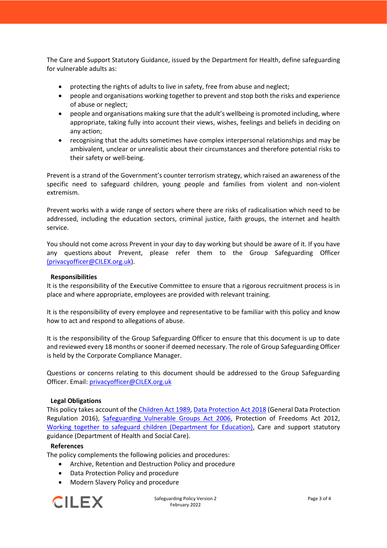The Care and Support Statutory Guidance, issued by the Department for Health, define safeguarding for vulnerable adults as:

- protecting the rights of adults to live in safety, free from abuse and neglect;
- people and organisations working together to prevent and stop both the risks and experience of abuse or neglect;
- people and organisations making sure that the adult's wellbeing is promoted including, where appropriate, taking fully into account their views, wishes, feelings and beliefs in deciding on any action;
- recognising that the adults sometimes have complex interpersonal relationships and may be ambivalent, unclear or unrealistic about their circumstances and therefore potential risks to their safety or well-being.

Prevent is a strand of the Government's counter terrorism strategy, which raised an awareness of the specific need to safeguard children, young people and families from violent and non-violent extremism.

Prevent works with a wide range of sectors where there are risks of radicalisation which need to be addressed, including the education sectors, criminal justice, faith groups, the internet and health service.

You should not come across Prevent in your day to day working but should be aware of it. If you have any questions about Prevent, please refer them to the Group Safeguarding Officer [\(privacyofficer@CILEX.org.uk\)](mailto:(privacyofficer@cilex.org.uk).

### <span id="page-2-0"></span>**Responsibilities**

It is the responsibility of the Executive Committee to ensure that a rigorous recruitment process is in place and where appropriate, employees are provided with relevant training.

It is the responsibility of every employee and representative to be familiar with this policy and know how to act and respond to allegations of abuse.

It is the responsibility of the Group Safeguarding Officer to ensure that this document is up to date and reviewed every 18 months or sooner if deemed necessary. The role of Group Safeguarding Officer is held by the Corporate Compliance Manager.

Questions or concerns relating to this document should be addressed to the Group Safeguarding Officer. Email[: privacyofficer@CILEX.org.uk](mailto:privacyofficer@cilex.org.uk)

#### <span id="page-2-1"></span>**Legal Obligations**

This policy takes account of th[e Children Act 1989,](http://www.legislation.gov.uk/ukpga/1989/41/contents) [Data Protection Act 2018](http://www.legislation.gov.uk/ukpga/2018/12/contents/enacted) (General Data Protection Regulation 2016), [Safeguarding Vulnerable Groups Act 2006,](http://www.legislation.gov.uk/ukpga/2006/47/pdfs/ukpga_20060047_en.pdf) Protection of Freedoms Act 2012, [Working together to safeguard children \(Department for Education\),](https://www.gov.uk/government/publications/working-together-to-safeguard-children--2) Care and support statutory guidance (Department of Health and Social Care).

#### <span id="page-2-2"></span>**References**

The policy complements the following policies and procedures:

- Archive, Retention and Destruction Policy and procedure
- Data Protection Policy and procedure
- Modern Slavery Policy and procedure